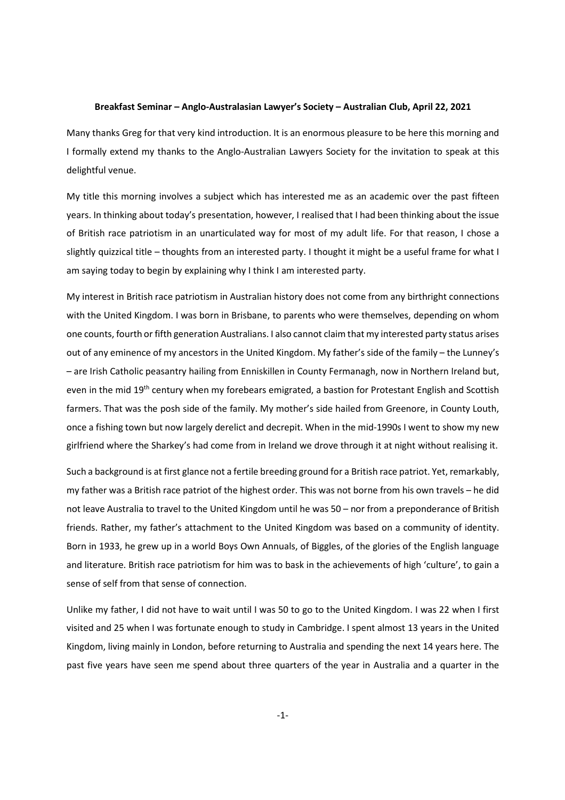## Breakfast Seminar – Anglo-Australasian Lawyer's Society – Australian Club, April 22, 2021

Many thanks Greg for that very kind introduction. It is an enormous pleasure to be here this morning and I formally extend my thanks to the Anglo-Australian Lawyers Society for the invitation to speak at this delightful venue.

My title this morning involves a subject which has interested me as an academic over the past fifteen years. In thinking about today's presentation, however, I realised that I had been thinking about the issue of British race patriotism in an unarticulated way for most of my adult life. For that reason, I chose a slightly quizzical title – thoughts from an interested party. I thought it might be a useful frame for what I am saying today to begin by explaining why I think I am interested party.

My interest in British race patriotism in Australian history does not come from any birthright connections with the United Kingdom. I was born in Brisbane, to parents who were themselves, depending on whom one counts, fourth or fifth generation Australians. I also cannot claim that my interested party status arises out of any eminence of my ancestors in the United Kingdom. My father's side of the family – the Lunney's – are Irish Catholic peasantry hailing from Enniskillen in County Fermanagh, now in Northern Ireland but, even in the mid 19<sup>th</sup> century when my forebears emigrated, a bastion for Protestant English and Scottish farmers. That was the posh side of the family. My mother's side hailed from Greenore, in County Louth, once a fishing town but now largely derelict and decrepit. When in the mid-1990s I went to show my new girlfriend where the Sharkey's had come from in Ireland we drove through it at night without realising it.

Such a background is at first glance not a fertile breeding ground for a British race patriot. Yet, remarkably, my father was a British race patriot of the highest order. This was not borne from his own travels – he did not leave Australia to travel to the United Kingdom until he was 50 – nor from a preponderance of British friends. Rather, my father's attachment to the United Kingdom was based on a community of identity. Born in 1933, he grew up in a world Boys Own Annuals, of Biggles, of the glories of the English language and literature. British race patriotism for him was to bask in the achievements of high 'culture', to gain a sense of self from that sense of connection.

Unlike my father, I did not have to wait until I was 50 to go to the United Kingdom. I was 22 when I first visited and 25 when I was fortunate enough to study in Cambridge. I spent almost 13 years in the United Kingdom, living mainly in London, before returning to Australia and spending the next 14 years here. The past five years have seen me spend about three quarters of the year in Australia and a quarter in the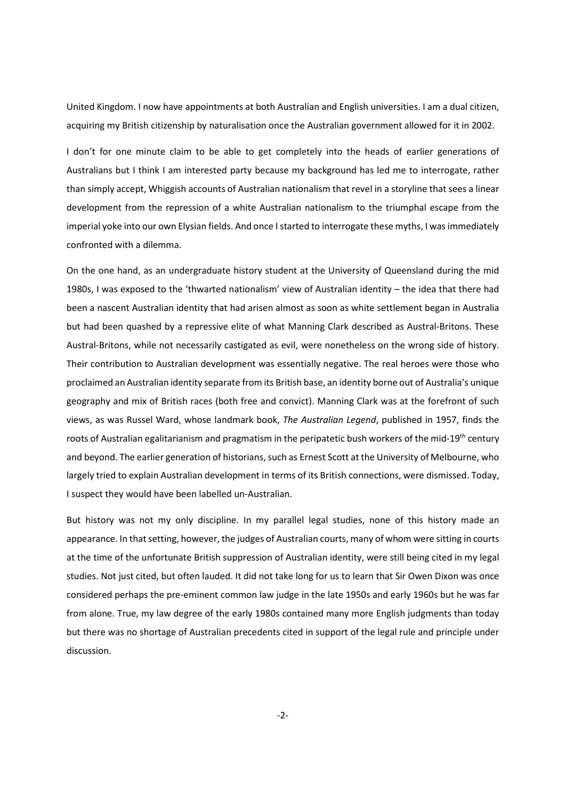United Kingdom. I now have appointments at both Australian and English universities. I am a dual citizen, acquiring my British citizenship by naturalisation once the Australian government allowed for it in 2002.

I don't for one minute claim to be able to get completely into the heads of earlier generations of Australians but I think I am interested party because my background has led me to interrogate, rather than simply accept, Whiggish accounts of Australian nationalism that revel in a storyline that sees a linear development from the repression of a white Australian nationalism to the triumphal escape from the imperial yoke into our own Elysian fields. And once I started to interrogate these myths, I was immediately confronted with a dilemma.

On the one hand, as an undergraduate history student at the University of Queensland during the mid 1980s, I was exposed to the 'thwarted nationalism' view of Australian identity – the idea that there had been a nascent Australian identity that had arisen almost as soon as white settlement began in Australia but had been quashed by a repressive elite of what Manning Clark described as Austral-Britons. These Austral-Britons, while not necessarily castigated as evil, were nonetheless on the wrong side of history. Their contribution to Australian development was essentially negative. The real heroes were those who proclaimed an Australian identity separate from its British base, an identity borne out of Australia's unique geography and mix of British races (both free and convict). Manning Clark was at the forefront of such views, as was Russel Ward, whose landmark book, The Australian Legend, published in 1957, finds the roots of Australian egalitarianism and pragmatism in the peripatetic bush workers of the mid-19<sup>th</sup> century and beyond. The earlier generation of historians, such as Ernest Scott at the University of Melbourne, who largely tried to explain Australian development in terms of its British connections, were dismissed. Today, I suspect they would have been labelled un-Australian.

But history was not my only discipline. In my parallel legal studies, none of this history made an appearance. In that setting, however, the judges of Australian courts, many of whom were sitting in courts at the time of the unfortunate British suppression of Australian identity, were still being cited in my legal studies. Not just cited, but often lauded. It did not take long for us to learn that Sir Owen Dixon was once considered perhaps the pre-eminent common law judge in the late 1950s and early 1960s but he was far from alone. True, my law degree of the early 1980s contained many more English judgments than today but there was no shortage of Australian precedents cited in support of the legal rule and principle under discussion.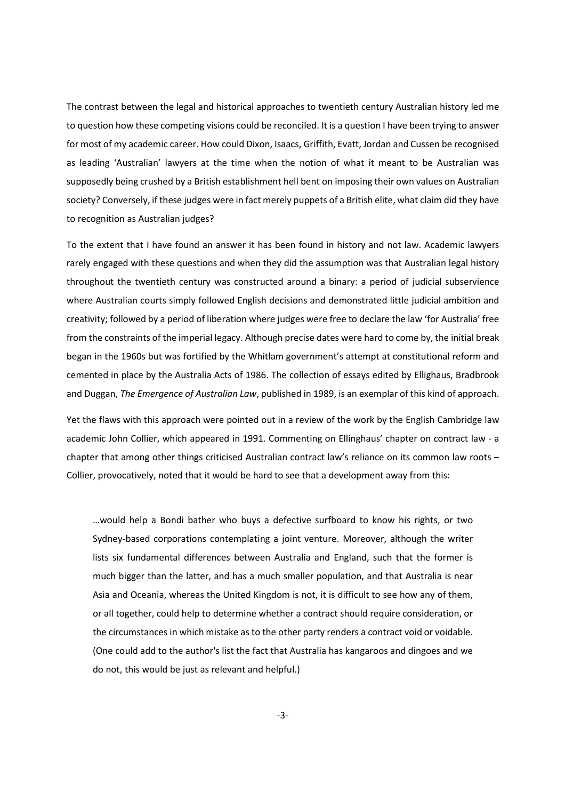The contrast between the legal and historical approaches to twentieth century Australian history led me to question how these competing visions could be reconciled. It is a question I have been trying to answer for most of my academic career. How could Dixon, Isaacs, Griffith, Evatt, Jordan and Cussen be recognised as leading 'Australian' lawyers at the time when the notion of what it meant to be Australian was supposedly being crushed by a British establishment hell bent on imposing their own values on Australian society? Conversely, if these judges were in fact merely puppets of a British elite, what claim did they have to recognition as Australian judges?

To the extent that I have found an answer it has been found in history and not law. Academic lawyers rarely engaged with these questions and when they did the assumption was that Australian legal history throughout the twentieth century was constructed around a binary: a period of judicial subservience where Australian courts simply followed English decisions and demonstrated little judicial ambition and creativity; followed by a period of liberation where judges were free to declare the law 'for Australia' free from the constraints of the imperial legacy. Although precise dates were hard to come by, the initial break began in the 1960s but was fortified by the Whitlam government's attempt at constitutional reform and cemented in place by the Australia Acts of 1986. The collection of essays edited by Ellighaus, Bradbrook and Duggan, The Emergence of Australian Law, published in 1989, is an exemplar of this kind of approach.

Yet the flaws with this approach were pointed out in a review of the work by the English Cambridge law academic John Collier, which appeared in 1991. Commenting on Ellinghaus' chapter on contract law - a chapter that among other things criticised Australian contract law's reliance on its common law roots – Collier, provocatively, noted that it would be hard to see that a development away from this:

…would help a Bondi bather who buys a defective surfboard to know his rights, or two Sydney-based corporations contemplating a joint venture. Moreover, although the writer lists six fundamental differences between Australia and England, such that the former is much bigger than the latter, and has a much smaller population, and that Australia is near Asia and Oceania, whereas the United Kingdom is not, it is difficult to see how any of them, or all together, could help to determine whether a contract should require consideration, or the circumstances in which mistake as to the other party renders a contract void or voidable. (One could add to the author's list the fact that Australia has kangaroos and dingoes and we do not, this would be just as relevant and helpful.)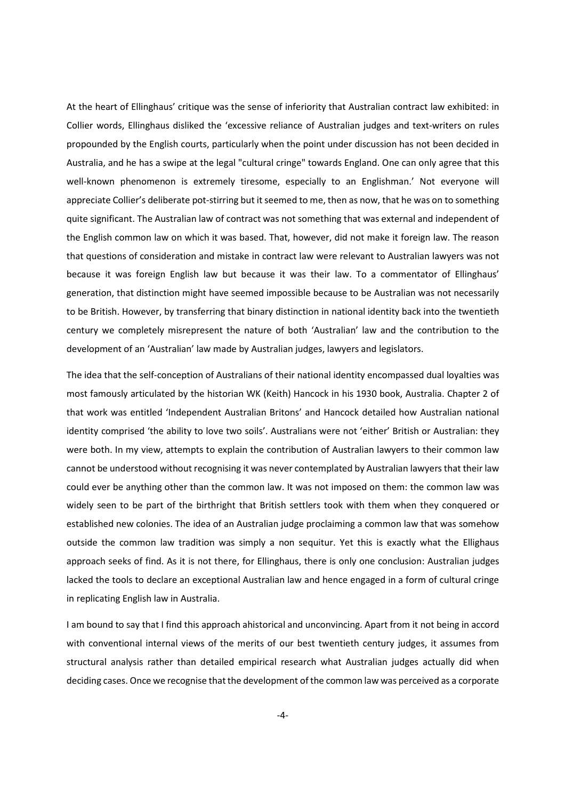At the heart of Ellinghaus' critique was the sense of inferiority that Australian contract law exhibited: in Collier words, Ellinghaus disliked the 'excessive reliance of Australian judges and text-writers on rules propounded by the English courts, particularly when the point under discussion has not been decided in Australia, and he has a swipe at the legal "cultural cringe" towards England. One can only agree that this well-known phenomenon is extremely tiresome, especially to an Englishman.' Not everyone will appreciate Collier's deliberate pot-stirring but it seemed to me, then as now, that he was on to something quite significant. The Australian law of contract was not something that was external and independent of the English common law on which it was based. That, however, did not make it foreign law. The reason that questions of consideration and mistake in contract law were relevant to Australian lawyers was not because it was foreign English law but because it was their law. To a commentator of Ellinghaus' generation, that distinction might have seemed impossible because to be Australian was not necessarily to be British. However, by transferring that binary distinction in national identity back into the twentieth century we completely misrepresent the nature of both 'Australian' law and the contribution to the development of an 'Australian' law made by Australian judges, lawyers and legislators.

The idea that the self-conception of Australians of their national identity encompassed dual loyalties was most famously articulated by the historian WK (Keith) Hancock in his 1930 book, Australia. Chapter 2 of that work was entitled 'Independent Australian Britons' and Hancock detailed how Australian national identity comprised 'the ability to love two soils'. Australians were not 'either' British or Australian: they were both. In my view, attempts to explain the contribution of Australian lawyers to their common law cannot be understood without recognising it was never contemplated by Australian lawyers that their law could ever be anything other than the common law. It was not imposed on them: the common law was widely seen to be part of the birthright that British settlers took with them when they conquered or established new colonies. The idea of an Australian judge proclaiming a common law that was somehow outside the common law tradition was simply a non sequitur. Yet this is exactly what the Ellighaus approach seeks of find. As it is not there, for Ellinghaus, there is only one conclusion: Australian judges lacked the tools to declare an exceptional Australian law and hence engaged in a form of cultural cringe in replicating English law in Australia.

I am bound to say that I find this approach ahistorical and unconvincing. Apart from it not being in accord with conventional internal views of the merits of our best twentieth century judges, it assumes from structural analysis rather than detailed empirical research what Australian judges actually did when deciding cases. Once we recognise that the development of the common law was perceived as a corporate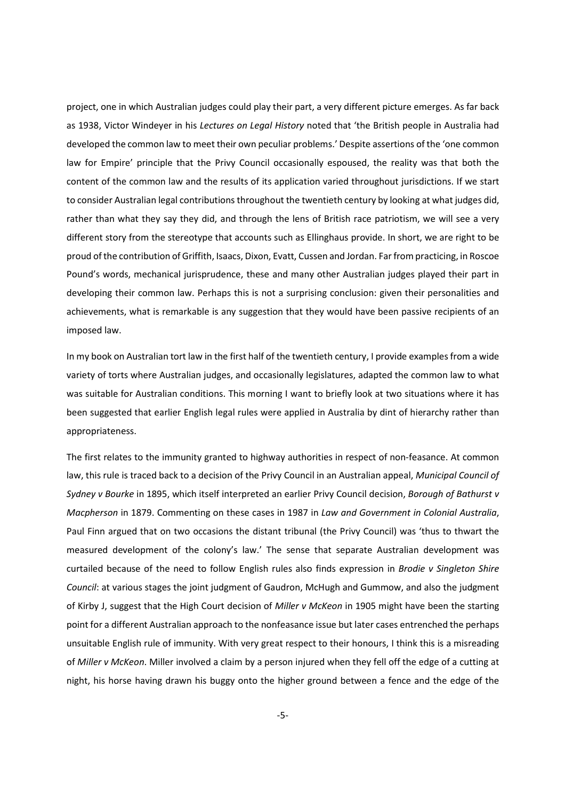project, one in which Australian judges could play their part, a very different picture emerges. As far back as 1938, Victor Windeyer in his Lectures on Legal History noted that 'the British people in Australia had developed the common law to meet their own peculiar problems.' Despite assertions of the 'one common law for Empire' principle that the Privy Council occasionally espoused, the reality was that both the content of the common law and the results of its application varied throughout jurisdictions. If we start to consider Australian legal contributions throughout the twentieth century by looking at what judges did, rather than what they say they did, and through the lens of British race patriotism, we will see a very different story from the stereotype that accounts such as Ellinghaus provide. In short, we are right to be proud of the contribution of Griffith, Isaacs, Dixon, Evatt, Cussen and Jordan. Far from practicing, in Roscoe Pound's words, mechanical jurisprudence, these and many other Australian judges played their part in developing their common law. Perhaps this is not a surprising conclusion: given their personalities and achievements, what is remarkable is any suggestion that they would have been passive recipients of an imposed law.

In my book on Australian tort law in the first half of the twentieth century, I provide examples from a wide variety of torts where Australian judges, and occasionally legislatures, adapted the common law to what was suitable for Australian conditions. This morning I want to briefly look at two situations where it has been suggested that earlier English legal rules were applied in Australia by dint of hierarchy rather than appropriateness.

The first relates to the immunity granted to highway authorities in respect of non-feasance. At common law, this rule is traced back to a decision of the Privy Council in an Australian appeal, Municipal Council of Sydney v Bourke in 1895, which itself interpreted an earlier Privy Council decision, Borough of Bathurst v Macpherson in 1879. Commenting on these cases in 1987 in Law and Government in Colonial Australia, Paul Finn argued that on two occasions the distant tribunal (the Privy Council) was 'thus to thwart the measured development of the colony's law.' The sense that separate Australian development was curtailed because of the need to follow English rules also finds expression in Brodie v Singleton Shire Council: at various stages the joint judgment of Gaudron, McHugh and Gummow, and also the judgment of Kirby J, suggest that the High Court decision of Miller v McKeon in 1905 might have been the starting point for a different Australian approach to the nonfeasance issue but later cases entrenched the perhaps unsuitable English rule of immunity. With very great respect to their honours, I think this is a misreading of Miller v McKeon. Miller involved a claim by a person injured when they fell off the edge of a cutting at night, his horse having drawn his buggy onto the higher ground between a fence and the edge of the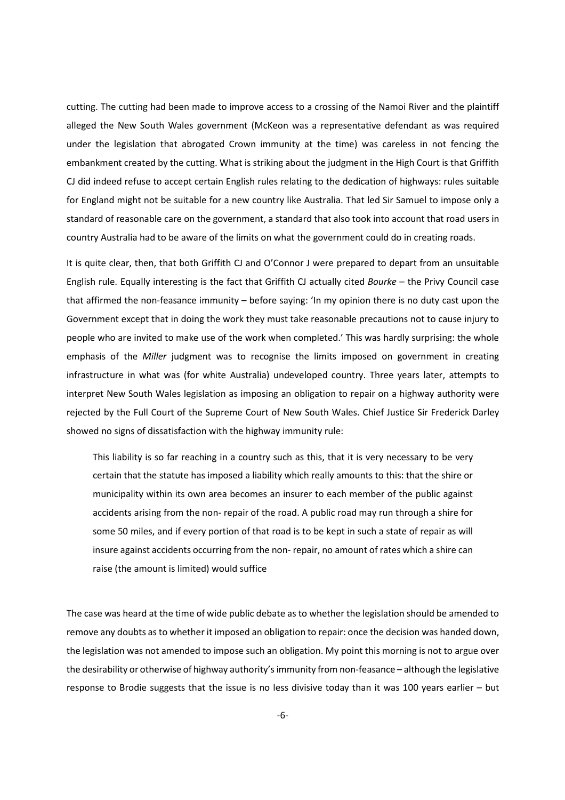cutting. The cutting had been made to improve access to a crossing of the Namoi River and the plaintiff alleged the New South Wales government (McKeon was a representative defendant as was required under the legislation that abrogated Crown immunity at the time) was careless in not fencing the embankment created by the cutting. What is striking about the judgment in the High Court is that Griffith CJ did indeed refuse to accept certain English rules relating to the dedication of highways: rules suitable for England might not be suitable for a new country like Australia. That led Sir Samuel to impose only a standard of reasonable care on the government, a standard that also took into account that road users in country Australia had to be aware of the limits on what the government could do in creating roads.

It is quite clear, then, that both Griffith CJ and O'Connor J were prepared to depart from an unsuitable English rule. Equally interesting is the fact that Griffith CJ actually cited Bourke – the Privy Council case that affirmed the non-feasance immunity – before saying: 'In my opinion there is no duty cast upon the Government except that in doing the work they must take reasonable precautions not to cause injury to people who are invited to make use of the work when completed.' This was hardly surprising: the whole emphasis of the Miller judgment was to recognise the limits imposed on government in creating infrastructure in what was (for white Australia) undeveloped country. Three years later, attempts to interpret New South Wales legislation as imposing an obligation to repair on a highway authority were rejected by the Full Court of the Supreme Court of New South Wales. Chief Justice Sir Frederick Darley showed no signs of dissatisfaction with the highway immunity rule:

This liability is so far reaching in a country such as this, that it is very necessary to be very certain that the statute has imposed a liability which really amounts to this: that the shire or municipality within its own area becomes an insurer to each member of the public against accidents arising from the non- repair of the road. A public road may run through a shire for some 50 miles, and if every portion of that road is to be kept in such a state of repair as will insure against accidents occurring from the non- repair, no amount of rates which a shire can raise (the amount is limited) would suffice

The case was heard at the time of wide public debate as to whether the legislation should be amended to remove any doubts as to whether it imposed an obligation to repair: once the decision was handed down, the legislation was not amended to impose such an obligation. My point this morning is not to argue over the desirability or otherwise of highway authority's immunity from non-feasance – although the legislative response to Brodie suggests that the issue is no less divisive today than it was 100 years earlier – but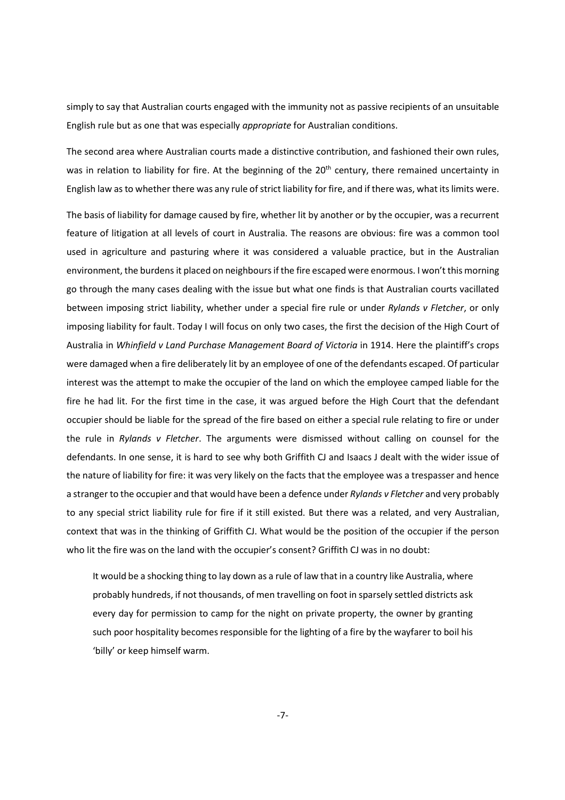simply to say that Australian courts engaged with the immunity not as passive recipients of an unsuitable English rule but as one that was especially appropriate for Australian conditions.

The second area where Australian courts made a distinctive contribution, and fashioned their own rules, was in relation to liability for fire. At the beginning of the 20<sup>th</sup> century, there remained uncertainty in English law as to whether there was any rule of strict liability for fire, and if there was, what its limits were.

The basis of liability for damage caused by fire, whether lit by another or by the occupier, was a recurrent feature of litigation at all levels of court in Australia. The reasons are obvious: fire was a common tool used in agriculture and pasturing where it was considered a valuable practice, but in the Australian environment, the burdens it placed on neighbours if the fire escaped were enormous. I won't this morning go through the many cases dealing with the issue but what one finds is that Australian courts vacillated between imposing strict liability, whether under a special fire rule or under Rylands v Fletcher, or only imposing liability for fault. Today I will focus on only two cases, the first the decision of the High Court of Australia in Whinfield v Land Purchase Management Board of Victoria in 1914. Here the plaintiff's crops were damaged when a fire deliberately lit by an employee of one of the defendants escaped. Of particular interest was the attempt to make the occupier of the land on which the employee camped liable for the fire he had lit. For the first time in the case, it was argued before the High Court that the defendant occupier should be liable for the spread of the fire based on either a special rule relating to fire or under the rule in Rylands v Fletcher. The arguments were dismissed without calling on counsel for the defendants. In one sense, it is hard to see why both Griffith CJ and Isaacs J dealt with the wider issue of the nature of liability for fire: it was very likely on the facts that the employee was a trespasser and hence a stranger to the occupier and that would have been a defence under Rylands v Fletcher and very probably to any special strict liability rule for fire if it still existed. But there was a related, and very Australian, context that was in the thinking of Griffith CJ. What would be the position of the occupier if the person who lit the fire was on the land with the occupier's consent? Griffith CJ was in no doubt:

It would be a shocking thing to lay down as a rule of law that in a country like Australia, where probably hundreds, if not thousands, of men travelling on foot in sparsely settled districts ask every day for permission to camp for the night on private property, the owner by granting such poor hospitality becomes responsible for the lighting of a fire by the wayfarer to boil his 'billy' or keep himself warm.

-7-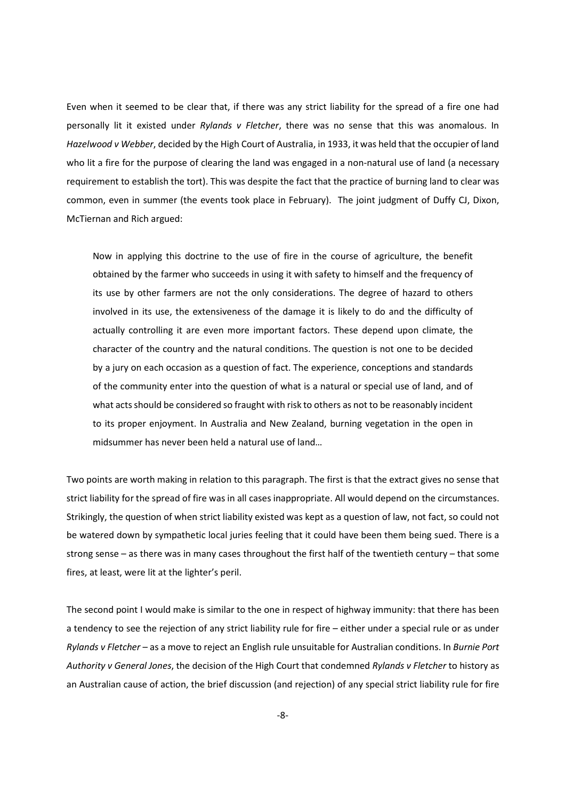Even when it seemed to be clear that, if there was any strict liability for the spread of a fire one had personally lit it existed under Rylands v Fletcher, there was no sense that this was anomalous. In Hazelwood v Webber, decided by the High Court of Australia, in 1933, it was held that the occupier of land who lit a fire for the purpose of clearing the land was engaged in a non-natural use of land (a necessary requirement to establish the tort). This was despite the fact that the practice of burning land to clear was common, even in summer (the events took place in February). The joint judgment of Duffy CJ, Dixon, McTiernan and Rich argued:

Now in applying this doctrine to the use of fire in the course of agriculture, the benefit obtained by the farmer who succeeds in using it with safety to himself and the frequency of its use by other farmers are not the only considerations. The degree of hazard to others involved in its use, the extensiveness of the damage it is likely to do and the difficulty of actually controlling it are even more important factors. These depend upon climate, the character of the country and the natural conditions. The question is not one to be decided by a jury on each occasion as a question of fact. The experience, conceptions and standards of the community enter into the question of what is a natural or special use of land, and of what acts should be considered so fraught with risk to others as not to be reasonably incident to its proper enjoyment. In Australia and New Zealand, burning vegetation in the open in midsummer has never been held a natural use of land…

Two points are worth making in relation to this paragraph. The first is that the extract gives no sense that strict liability for the spread of fire was in all cases inappropriate. All would depend on the circumstances. Strikingly, the question of when strict liability existed was kept as a question of law, not fact, so could not be watered down by sympathetic local juries feeling that it could have been them being sued. There is a strong sense – as there was in many cases throughout the first half of the twentieth century – that some fires, at least, were lit at the lighter's peril.

The second point I would make is similar to the one in respect of highway immunity: that there has been a tendency to see the rejection of any strict liability rule for fire – either under a special rule or as under Rylands v Fletcher – as a move to reject an English rule unsuitable for Australian conditions. In Burnie Port Authority v General Jones, the decision of the High Court that condemned Rylands v Fletcher to history as an Australian cause of action, the brief discussion (and rejection) of any special strict liability rule for fire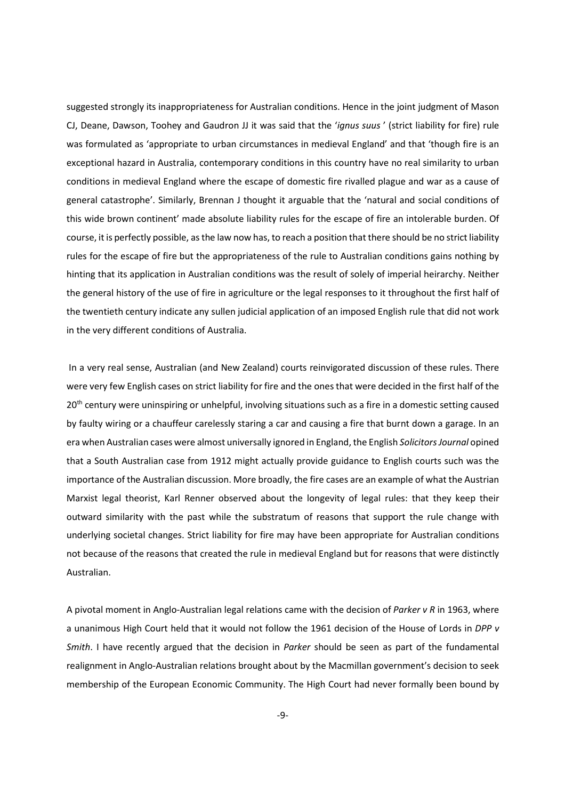suggested strongly its inappropriateness for Australian conditions. Hence in the joint judgment of Mason CJ, Deane, Dawson, Toohey and Gaudron JJ it was said that the 'ignus suus' (strict liability for fire) rule was formulated as 'appropriate to urban circumstances in medieval England' and that 'though fire is an exceptional hazard in Australia, contemporary conditions in this country have no real similarity to urban conditions in medieval England where the escape of domestic fire rivalled plague and war as a cause of general catastrophe'. Similarly, Brennan J thought it arguable that the 'natural and social conditions of this wide brown continent' made absolute liability rules for the escape of fire an intolerable burden. Of course, it is perfectly possible, as the law now has, to reach a position that there should be no strict liability rules for the escape of fire but the appropriateness of the rule to Australian conditions gains nothing by hinting that its application in Australian conditions was the result of solely of imperial heirarchy. Neither the general history of the use of fire in agriculture or the legal responses to it throughout the first half of the twentieth century indicate any sullen judicial application of an imposed English rule that did not work in the very different conditions of Australia.

 In a very real sense, Australian (and New Zealand) courts reinvigorated discussion of these rules. There were very few English cases on strict liability for fire and the ones that were decided in the first half of the 20<sup>th</sup> century were uninspiring or unhelpful, involving situations such as a fire in a domestic setting caused by faulty wiring or a chauffeur carelessly staring a car and causing a fire that burnt down a garage. In an era when Australian cases were almost universally ignored in England, the English Solicitors Journal opined that a South Australian case from 1912 might actually provide guidance to English courts such was the importance of the Australian discussion. More broadly, the fire cases are an example of what the Austrian Marxist legal theorist, Karl Renner observed about the longevity of legal rules: that they keep their outward similarity with the past while the substratum of reasons that support the rule change with underlying societal changes. Strict liability for fire may have been appropriate for Australian conditions not because of the reasons that created the rule in medieval England but for reasons that were distinctly Australian.

A pivotal moment in Anglo-Australian legal relations came with the decision of Parker v R in 1963, where a unanimous High Court held that it would not follow the 1961 decision of the House of Lords in DPP v Smith. I have recently argued that the decision in Parker should be seen as part of the fundamental realignment in Anglo-Australian relations brought about by the Macmillan government's decision to seek membership of the European Economic Community. The High Court had never formally been bound by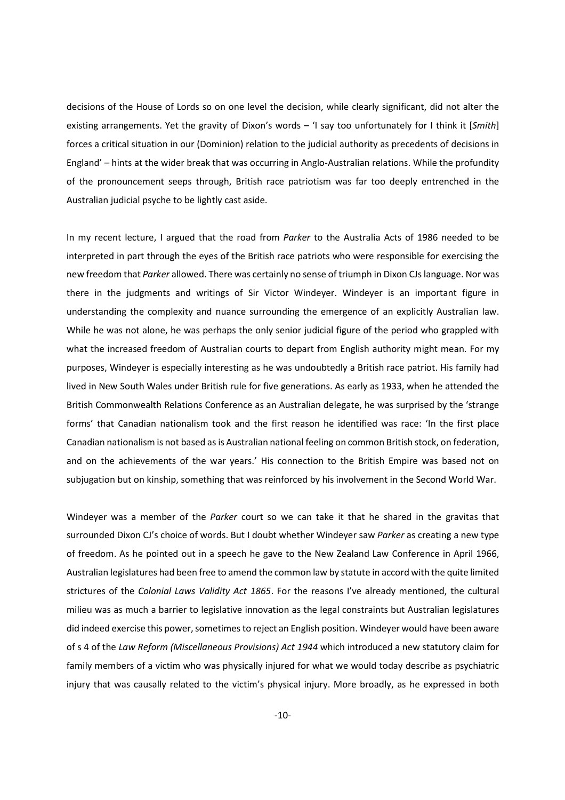decisions of the House of Lords so on one level the decision, while clearly significant, did not alter the existing arrangements. Yet the gravity of Dixon's words – 'I say too unfortunately for I think it [Smith] forces a critical situation in our (Dominion) relation to the judicial authority as precedents of decisions in England' – hints at the wider break that was occurring in Anglo-Australian relations. While the profundity of the pronouncement seeps through, British race patriotism was far too deeply entrenched in the Australian judicial psyche to be lightly cast aside.

In my recent lecture, I argued that the road from Parker to the Australia Acts of 1986 needed to be interpreted in part through the eyes of the British race patriots who were responsible for exercising the new freedom that Parker allowed. There was certainly no sense of triumph in Dixon CJs language. Nor was there in the judgments and writings of Sir Victor Windeyer. Windeyer is an important figure in understanding the complexity and nuance surrounding the emergence of an explicitly Australian law. While he was not alone, he was perhaps the only senior judicial figure of the period who grappled with what the increased freedom of Australian courts to depart from English authority might mean. For my purposes, Windeyer is especially interesting as he was undoubtedly a British race patriot. His family had lived in New South Wales under British rule for five generations. As early as 1933, when he attended the British Commonwealth Relations Conference as an Australian delegate, he was surprised by the 'strange forms' that Canadian nationalism took and the first reason he identified was race: 'In the first place Canadian nationalism is not based as is Australian national feeling on common British stock, on federation, and on the achievements of the war years.' His connection to the British Empire was based not on subjugation but on kinship, something that was reinforced by his involvement in the Second World War.

Windever was a member of the Parker court so we can take it that he shared in the gravitas that surrounded Dixon CJ's choice of words. But I doubt whether Windeyer saw Parker as creating a new type of freedom. As he pointed out in a speech he gave to the New Zealand Law Conference in April 1966, Australian legislatures had been free to amend the common law by statute in accord with the quite limited strictures of the Colonial Laws Validity Act 1865. For the reasons I've already mentioned, the cultural milieu was as much a barrier to legislative innovation as the legal constraints but Australian legislatures did indeed exercise this power, sometimes to reject an English position. Windeyer would have been aware of s 4 of the Law Reform (Miscellaneous Provisions) Act 1944 which introduced a new statutory claim for family members of a victim who was physically injured for what we would today describe as psychiatric injury that was causally related to the victim's physical injury. More broadly, as he expressed in both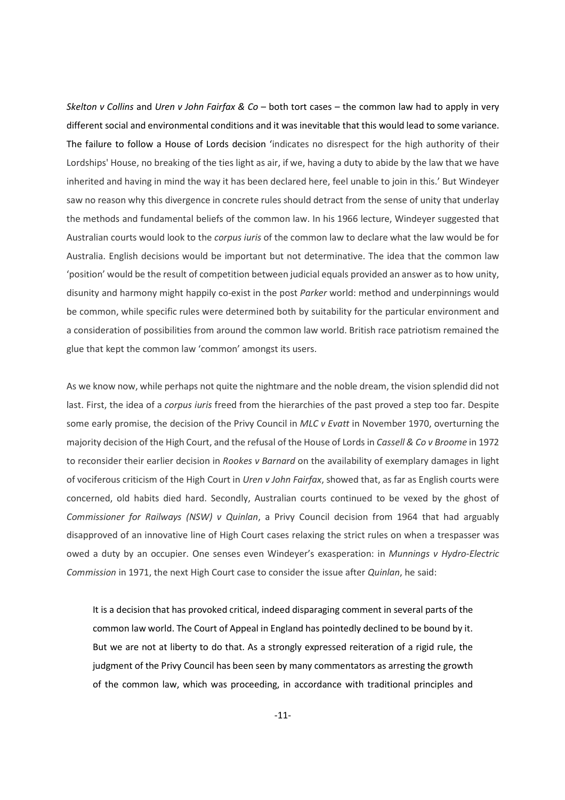Skelton v Collins and Uren v John Fairfax & Co – both tort cases – the common law had to apply in very different social and environmental conditions and it was inevitable that this would lead to some variance. The failure to follow a House of Lords decision 'indicates no disrespect for the high authority of their Lordships' House, no breaking of the ties light as air, if we, having a duty to abide by the law that we have inherited and having in mind the way it has been declared here, feel unable to join in this.' But Windeyer saw no reason why this divergence in concrete rules should detract from the sense of unity that underlay the methods and fundamental beliefs of the common law. In his 1966 lecture, Windeyer suggested that Australian courts would look to the corpus iuris of the common law to declare what the law would be for Australia. English decisions would be important but not determinative. The idea that the common law 'position' would be the result of competition between judicial equals provided an answer as to how unity, disunity and harmony might happily co-exist in the post Parker world: method and underpinnings would be common, while specific rules were determined both by suitability for the particular environment and a consideration of possibilities from around the common law world. British race patriotism remained the glue that kept the common law 'common' amongst its users.

As we know now, while perhaps not quite the nightmare and the noble dream, the vision splendid did not last. First, the idea of a *corpus iuris* freed from the hierarchies of the past proved a step too far. Despite some early promise, the decision of the Privy Council in MLC v Evatt in November 1970, overturning the majority decision of the High Court, and the refusal of the House of Lords in Cassell & Co v Broome in 1972 to reconsider their earlier decision in Rookes v Barnard on the availability of exemplary damages in light of vociferous criticism of the High Court in Uren v John Fairfax, showed that, as far as English courts were concerned, old habits died hard. Secondly, Australian courts continued to be vexed by the ghost of Commissioner for Railways (NSW) v Quinlan, a Privy Council decision from 1964 that had arguably disapproved of an innovative line of High Court cases relaxing the strict rules on when a trespasser was owed a duty by an occupier. One senses even Windeyer's exasperation: in Munnings v Hydro-Electric Commission in 1971, the next High Court case to consider the issue after Quinlan, he said:

It is a decision that has provoked critical, indeed disparaging comment in several parts of the common law world. The Court of Appeal in England has pointedly declined to be bound by it. But we are not at liberty to do that. As a strongly expressed reiteration of a rigid rule, the judgment of the Privy Council has been seen by many commentators as arresting the growth of the common law, which was proceeding, in accordance with traditional principles and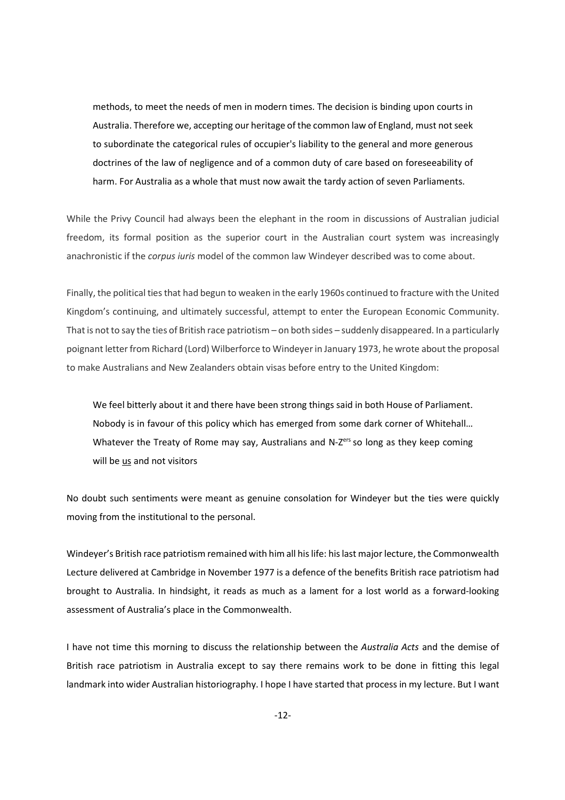methods, to meet the needs of men in modern times. The decision is binding upon courts in Australia. Therefore we, accepting our heritage of the common law of England, must not seek to subordinate the categorical rules of occupier's liability to the general and more generous doctrines of the law of negligence and of a common duty of care based on foreseeability of harm. For Australia as a whole that must now await the tardy action of seven Parliaments.

While the Privy Council had always been the elephant in the room in discussions of Australian judicial freedom, its formal position as the superior court in the Australian court system was increasingly anachronistic if the corpus iuris model of the common law Windeyer described was to come about.

Finally, the political ties that had begun to weaken in the early 1960s continued to fracture with the United Kingdom's continuing, and ultimately successful, attempt to enter the European Economic Community. That is not to say the ties of British race patriotism – on both sides – suddenly disappeared. In a particularly poignant letter from Richard (Lord) Wilberforce to Windeyer in January 1973, he wrote about the proposal to make Australians and New Zealanders obtain visas before entry to the United Kingdom:

We feel bitterly about it and there have been strong things said in both House of Parliament. Nobody is in favour of this policy which has emerged from some dark corner of Whitehall… Whatever the Treaty of Rome may say, Australians and N- $Z<sup>ers</sup>$  so long as they keep coming will be us and not visitors

No doubt such sentiments were meant as genuine consolation for Windeyer but the ties were quickly moving from the institutional to the personal.

Windeyer's British race patriotism remained with him all his life: his last major lecture, the Commonwealth Lecture delivered at Cambridge in November 1977 is a defence of the benefits British race patriotism had brought to Australia. In hindsight, it reads as much as a lament for a lost world as a forward-looking assessment of Australia's place in the Commonwealth.

I have not time this morning to discuss the relationship between the Australia Acts and the demise of British race patriotism in Australia except to say there remains work to be done in fitting this legal landmark into wider Australian historiography. I hope I have started that process in my lecture. But I want